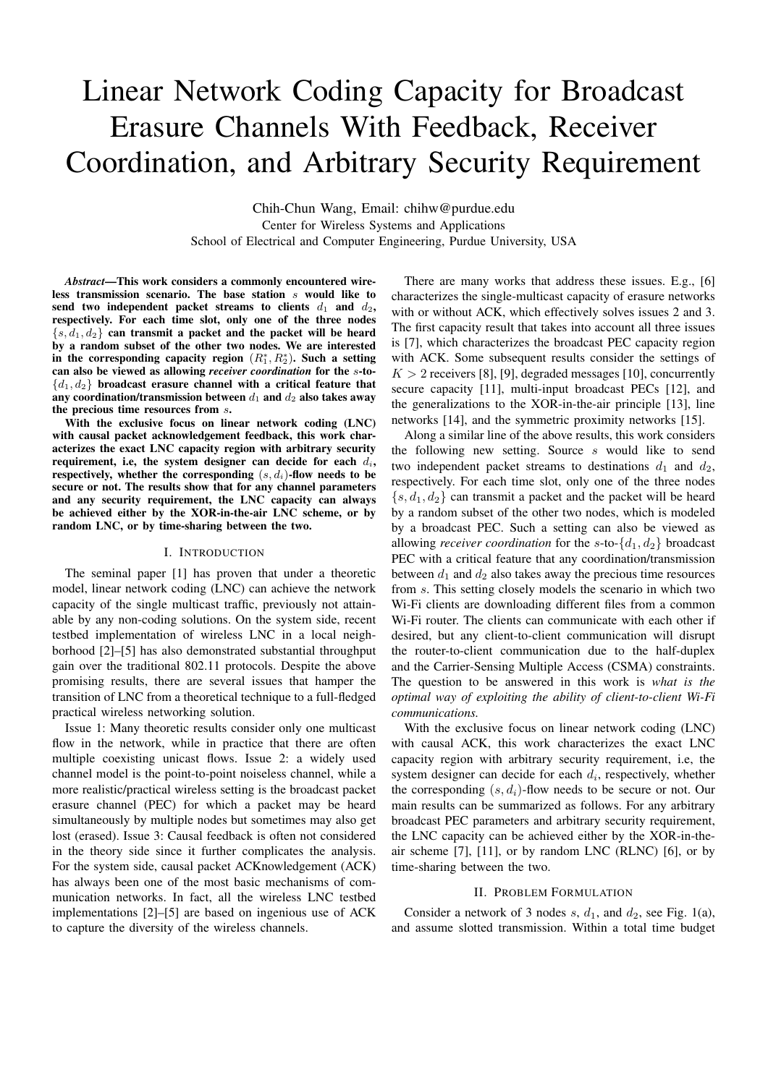# Linear Network Coding Capacity for Broadcast Erasure Channels With Feedback, Receiver Coordination, and Arbitrary Security Requirement

Chih-Chun Wang, Email: chihw@purdue.edu Center for Wireless Systems and Applications School of Electrical and Computer Engineering, Purdue University, USA

*Abstract*—This work considers a commonly encountered wireless transmission scenario. The base station s would like to send two independent packet streams to clients  $d_1$  and  $d_2$ , respectively. For each time slot, only one of the three nodes  $\{s, d_1, d_2\}$  can transmit a packet and the packet will be heard by a random subset of the other two nodes. We are interested in the corresponding capacity region  $(R_1^*, R_2^*)$ . Such a setting can also be viewed as allowing *receiver coordination* for the s-to-  ${d_1, d_2}$  broadcast erasure channel with a critical feature that any coordination/transmission between  $d_1$  and  $d_2$  also takes away the precious time resources from s.

With the exclusive focus on linear network coding (LNC) with causal packet acknowledgement feedback, this work characterizes the exact LNC capacity region with arbitrary security requirement, i.e, the system designer can decide for each  $d_i$ , respectively, whether the corresponding  $(s, d_i)$ -flow needs to be secure or not. The results show that for any channel parameters and any security requirement, the LNC capacity can always be achieved either by the XOR-in-the-air LNC scheme, or by random LNC, or by time-sharing between the two.

#### I. INTRODUCTION

The seminal paper [1] has proven that under a theoretic model, linear network coding (LNC) can achieve the network capacity of the single multicast traffic, previously not attainable by any non-coding solutions. On the system side, recent testbed implementation of wireless LNC in a local neighborhood [2]–[5] has also demonstrated substantial throughput gain over the traditional 802.11 protocols. Despite the above promising results, there are several issues that hamper the transition of LNC from a theoretical technique to a full-fledged practical wireless networking solution.

Issue 1: Many theoretic results consider only one multicast flow in the network, while in practice that there are often multiple coexisting unicast flows. Issue 2: a widely used channel model is the point-to-point noiseless channel, while a more realistic/practical wireless setting is the broadcast packet erasure channel (PEC) for which a packet may be heard simultaneously by multiple nodes but sometimes may also get lost (erased). Issue 3: Causal feedback is often not considered in the theory side since it further complicates the analysis. For the system side, causal packet ACKnowledgement (ACK) has always been one of the most basic mechanisms of communication networks. In fact, all the wireless LNC testbed implementations [2]–[5] are based on ingenious use of ACK to capture the diversity of the wireless channels.

There are many works that address these issues. E.g., [6] characterizes the single-multicast capacity of erasure networks with or without ACK, which effectively solves issues 2 and 3. The first capacity result that takes into account all three issues is [7], which characterizes the broadcast PEC capacity region with ACK. Some subsequent results consider the settings of  $K > 2$  receivers [8], [9], degraded messages [10], concurrently secure capacity [11], multi-input broadcast PECs [12], and the generalizations to the XOR-in-the-air principle [13], line networks [14], and the symmetric proximity networks [15].

Along a similar line of the above results, this work considers the following new setting. Source s would like to send two independent packet streams to destinations  $d_1$  and  $d_2$ , respectively. For each time slot, only one of the three nodes  $\{s, d_1, d_2\}$  can transmit a packet and the packet will be heard by a random subset of the other two nodes, which is modeled by a broadcast PEC. Such a setting can also be viewed as allowing *receiver coordination* for the  $s$ -to- $\{d_1, d_2\}$  broadcast PEC with a critical feature that any coordination/transmission between  $d_1$  and  $d_2$  also takes away the precious time resources from s. This setting closely models the scenario in which two Wi-Fi clients are downloading different files from a common Wi-Fi router. The clients can communicate with each other if desired, but any client-to-client communication will disrupt the router-to-client communication due to the half-duplex and the Carrier-Sensing Multiple Access (CSMA) constraints. The question to be answered in this work is *what is the optimal way of exploiting the ability of client-to-client Wi-Fi communications.*

With the exclusive focus on linear network coding (LNC) with causal ACK, this work characterizes the exact LNC capacity region with arbitrary security requirement, i.e, the system designer can decide for each  $d_i$ , respectively, whether the corresponding  $(s, d_i)$ -flow needs to be secure or not. Our main results can be summarized as follows. For any arbitrary broadcast PEC parameters and arbitrary security requirement, the LNC capacity can be achieved either by the XOR-in-theair scheme  $[7]$ ,  $[11]$ , or by random LNC (RLNC)  $[6]$ , or by time-sharing between the two.

#### II. PROBLEM FORMULATION

Consider a network of 3 nodes s,  $d_1$ , and  $d_2$ , see Fig. 1(a), and assume slotted transmission. Within a total time budget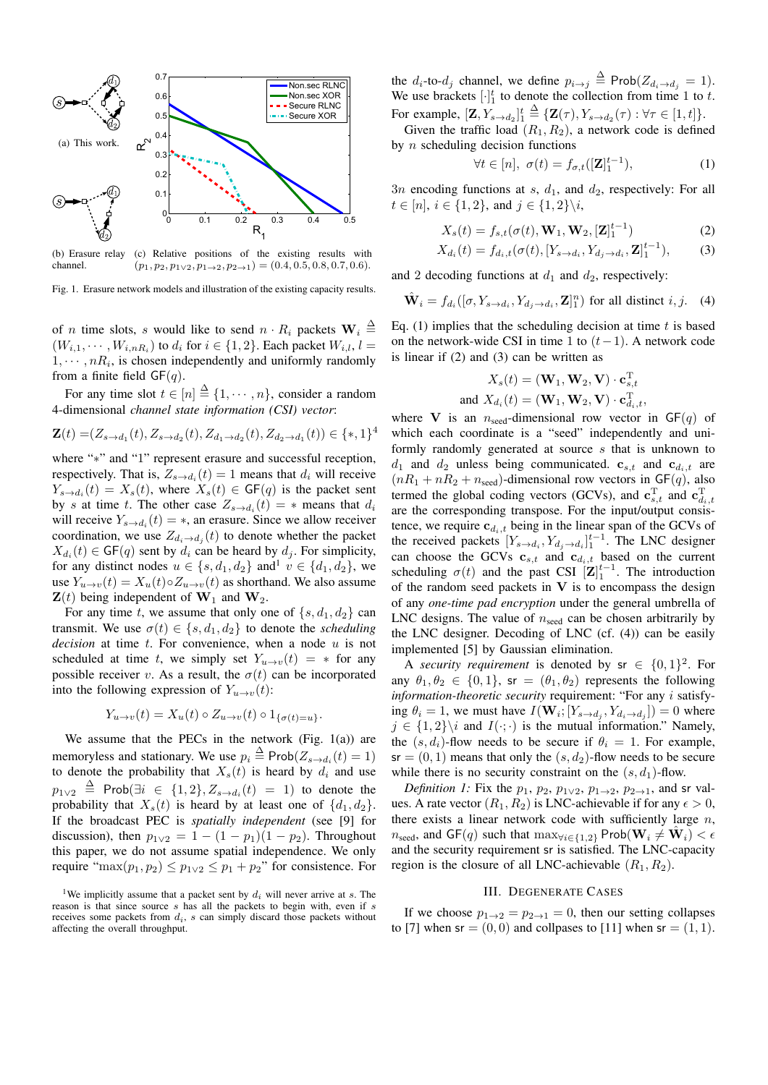

(b) Erasure relay (c) Relative positions of the existing results with channel.  $(p_1, p_2, p_{1 \vee 2}, p_{1 \rightarrow 2}, p_{2 \rightarrow 1}) = (0.4, 0.5, 0.8, 0.7, 0.6).$ 

Fig. 1. Erasure network models and illustration of the existing capacity results.

of *n* time slots, *s* would like to send  $n \cdot R_i$  packets  $\mathbf{W}_i \triangleq$  $(W_{i,1},\dots, W_{i,nR_i})$  to  $d_i$  for  $i \in \{1,2\}$ . Each packet  $W_{i,l}$ ,  $l =$  $1, \dots, nR_i$ , is chosen independently and uniformly randomly from a finite field  $GF(q)$ .

For any time slot  $t \in [n] \stackrel{\Delta}{=} \{1, \cdots, n\}$ , consider a random 4-dimensional *channel state information (CSI) vector*:

$$
\mathbf{Z}(t) = (Z_{s \to d_1}(t), Z_{s \to d_2}(t), Z_{d_1 \to d_2}(t), Z_{d_2 \to d_1}(t)) \in \{*, 1\}^4
$$

where "∗" and "1" represent erasure and successful reception, respectively. That is,  $Z_{s\rightarrow d_i}(t)=1$  means that  $d_i$  will receive  $Y_{s\rightarrow d_i}(t) = X_s(t)$ , where  $X_s(t) \in \mathsf{GF}(q)$  is the packet sent by s at time t. The other case  $Z_{s\rightarrow d_i}(t) = *$  means that  $d_i$ will receive  $Y_{s\to d_i}(t) = *$ , an erasure. Since we allow receiver coordination, we use  $Z_{d_i\rightarrow d_j}(t)$  to denote whether the packet  $X_{d_i}(t) \in \mathsf{GF}(q)$  sent by  $d_i$  can be heard by  $d_j$ . For simplicity, for any distinct nodes  $u \in \{s, d_1, d_2\}$  and<sup>1</sup>  $v \in \{d_1, d_2\}$ , we use  $Y_{u\to v}(t) = X_u(t) \circ Z_{u\to v}(t)$  as shorthand. We also assume  $\mathbf{Z}(t)$  being independent of  $\mathbf{W}_1$  and  $\mathbf{W}_2$ .

For any time t, we assume that only one of  $\{s, d_1, d_2\}$  can transmit. We use  $\sigma(t) \in \{s, d_1, d_2\}$  to denote the *scheduling decision* at time  $t$ . For convenience, when a node  $u$  is not scheduled at time t, we simply set  $Y_{u\rightarrow v}(t) = *$  for any possible receiver v. As a result, the  $\sigma(t)$  can be incorporated into the following expression of  $Y_{u\rightarrow v}(t)$ :

$$
Y_{u \to v}(t) = X_u(t) \circ Z_{u \to v}(t) \circ 1_{\{\sigma(t) = u\}}.
$$

We assume that the PECs in the network (Fig.  $1(a)$ ) are memoryless and stationary. We use  $p_i \stackrel{\Delta}{=} \text{Prob}(Z_{s \to d_i}(t) = 1)$ to denote the probability that  $X_s(t)$  is heard by  $d_i$  and use  $p_{1\vee2} \triangleq$  Prob $(\exists i \in \{1,2\}, Z_{s\rightarrow d_i}(t) = 1)$  to denote the probability that  $X_s(t)$  is heard by at least one of  $\{d_1, d_2\}$ . If the broadcast PEC is *spatially independent* (see [9] for discussion), then  $p_{1\vee 2} = 1 - (1 - p_1)(1 - p_2)$ . Throughout this paper, we do not assume spatial independence. We only require "max $(p_1, p_2) \leq p_1 \vee p_2 \leq p_1 + p_2$ " for consistence. For the  $d_i$ -to- $d_j$  channel, we define  $p_{i\rightarrow j} \triangleq \text{Prob}(Z_{d_i\rightarrow d_j} = 1)$ . We use brackets  $[\cdot]_1^t$  to denote the collection from time 1 to t. For example,  $[\mathbf{Z}, Y_{s \to d_2}]_1^t$  $\stackrel{\Delta}{=} {\{\mathbf{Z}(\tau), Y_{s \to d_2}(\tau) : \forall \tau \in [1, t]\}}.$ 

Given the traffic load  $(R_1, R_2)$ , a network code is defined by  $n$  scheduling decision functions

$$
\forall t \in [n], \ \sigma(t) = f_{\sigma,t}([\mathbf{Z}]_1^{t-1}), \tag{1}
$$

 $3n$  encoding functions at s,  $d_1$ , and  $d_2$ , respectively: For all  $t \in [n], i \in \{1, 2\}, \text{ and } j \in \{1, 2\} \backslash i,$ 

$$
X_s(t) = f_{s,t}(\sigma(t), \mathbf{W}_1, \mathbf{W}_2, [\mathbf{Z}]_1^{t-1})
$$
 (2)

$$
X_{d_i}(t) = f_{d_i, t}(\sigma(t), [Y_{s \to d_i}, Y_{d_j \to d_i}, \mathbf{Z}]_1^{t-1}),
$$
 (3)

and 2 decoding functions at  $d_1$  and  $d_2$ , respectively:

$$
\hat{\mathbf{W}}_i = f_{d_i}([\sigma, Y_{s \to d_i}, Y_{d_j \to d_i}, \mathbf{Z}]_1^n)
$$
 for all distinct *i*, *j*. (4)

Eq.  $(1)$  implies that the scheduling decision at time t is based on the network-wide CSI in time 1 to  $(t-1)$ . A network code is linear if (2) and (3) can be written as

$$
X_s(t) = (\mathbf{W}_1, \mathbf{W}_2, \mathbf{V}) \cdot \mathbf{c}_{s,t}^{\mathrm{T}}
$$
  
and 
$$
X_{d_i}(t) = (\mathbf{W}_1, \mathbf{W}_2, \mathbf{V}) \cdot \mathbf{c}_{d_i,t}^{\mathrm{T}},
$$

where **V** is an  $n_{seed}$ -dimensional row vector in  $GF(q)$  of which each coordinate is a "seed" independently and uniformly randomly generated at source s that is unknown to  $d_1$  and  $d_2$  unless being communicated.  $\mathbf{c}_{s,t}$  and  $\mathbf{c}_{d_i,t}$  are  $(nR_1 + nR_2 + n_{seed})$ -dimensional row vectors in GF(q), also termed the global coding vectors (GCVs), and  $\mathbf{c}_{s,t}^{\mathrm{T}}$  and  $\mathbf{c}_{d_i,t}^{\mathrm{T}}$ are the corresponding transpose. For the input/output consistence, we require  $c_{d_i,t}$  being in the linear span of the GCVs of the received packets  $[Y_{s\to d_i}, Y_{d_j\to d_i}]_1^{t-1}$ . The LNC designer can choose the GCVs  $c_{s,t}$  and  $c_{d_i,t}$  based on the current scheduling  $\sigma(t)$  and the past CSI  $\left[\mathbf{Z}\right]_1^{t-1}$ . The introduction of the random seed packets in **V** is to encompass the design of any *one-time pad encryption* under the general umbrella of LNC designs. The value of  $n_{seed}$  can be chosen arbitrarily by the LNC designer. Decoding of LNC (cf. (4)) can be easily implemented [5] by Gaussian elimination.

A *security requirement* is denoted by  $sr \in \{0, 1\}^2$ . For any  $\theta_1, \theta_2 \in \{0, 1\}$ , sr =  $(\theta_1, \theta_2)$  represents the following *information-theoretic security* requirement: "For any i satisfying  $\theta_i = 1$ , we must have  $I(\mathbf{W}_i; [Y_{s \to d_i}, Y_{d_i \to d_i}]) = 0$  where  $j \in \{1,2\}$  and  $I(\cdot;\cdot)$  is the mutual information." Namely, the  $(s, d_i)$ -flow needs to be secure if  $\theta_i = 1$ . For example,  $s = (0, 1)$  means that only the  $(s, d_2)$ -flow needs to be secure while there is no security constraint on the  $(s, d_1)$ -flow.

*Definition 1:* Fix the  $p_1$ ,  $p_2$ ,  $p_{1\vee 2}$ ,  $p_{1\rightarrow 2}$ ,  $p_{2\rightarrow 1}$ , and sr values. A rate vector  $(R_1, R_2)$  is LNC-achievable if for any  $\epsilon > 0$ , there exists a linear network code with sufficiently large  $n$ ,  $n_{\text{seed}}$ , and  $GF(q)$  such that  $\max_{\forall i \in \{1,2\}} \text{Prob}(\mathbf{W}_i \neq \mathbf{W}_i) < \epsilon$ and the security requirement sr is satisfied. The LNC-capacity region is the closure of all LNC-achievable  $(R_1, R_2)$ .

#### III. DEGENERATE CASES

If we choose  $p_{1\rightarrow 2} = p_{2\rightarrow 1} = 0$ , then our setting collapses to [7] when  $sr = (0, 0)$  and collpases to [11] when  $sr = (1, 1)$ .

<sup>&</sup>lt;sup>1</sup>We implicitly assume that a packet sent by  $d_i$  will never arrive at s. The reason is that since source s has all the packets to begin with, even if s receives some packets from  $d_i$ , s can simply discard those packets without affecting the overall throughput.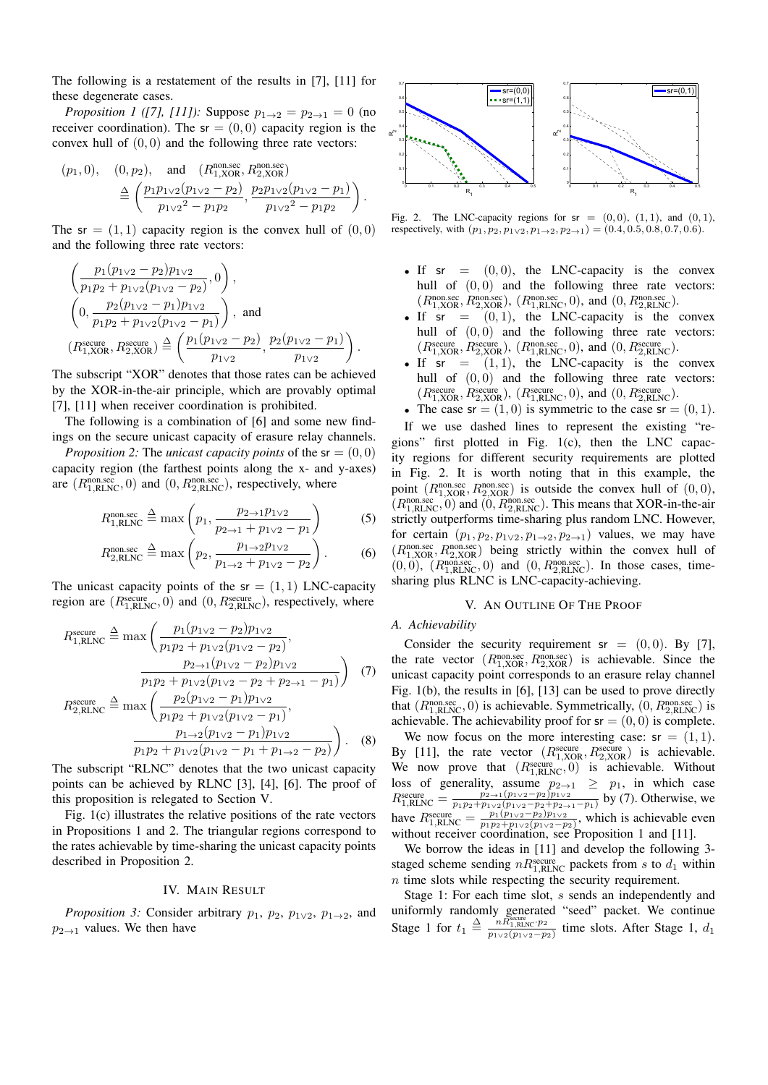The following is a restatement of the results in [7], [11] for these degenerate cases.

*Proposition 1 ([7], [11]):* Suppose  $p_{1\to 2} = p_{2\to 1} = 0$  (no receiver coordination). The  $sr = (0, 0)$  capacity region is the convex hull of  $(0, 0)$  and the following three rate vectors:

$$
(p_1, 0), \quad (0, p_2), \quad \text{and} \quad (R_{1, \text{XOR}}^{\text{non/sec}}, R_{2, \text{XOR}}^{\text{non/sec}})
$$
  

$$
\stackrel{\Delta}{=} \left( \frac{p_1 p_{1 \vee 2} (p_{1 \vee 2} - p_2)}{p_{1 \vee 2}^2 - p_1 p_2}, \frac{p_2 p_{1 \vee 2} (p_{1 \vee 2} - p_1)}{p_{1 \vee 2}^2 - p_1 p_2} \right).
$$

The sr =  $(1, 1)$  capacity region is the convex hull of  $(0, 0)$ and the following three rate vectors:

$$
\left(\frac{p_1(p_{1\vee 2}-p_2)p_{1\vee 2}}{p_1p_2+p_{1\vee 2}(p_{1\vee 2}-p_2)},0\right),
$$
\n
$$
\left(0,\frac{p_2(p_{1\vee 2}-p_1)p_{1\vee 2}}{p_1p_2+p_{1\vee 2}(p_{1\vee 2}-p_1)}\right),
$$
 and\n
$$
(R_{1,\text{XOR}}^{\text{secure}},R_{2,\text{XOR}}^{\text{secure}})\stackrel{\Delta}{=} \left(\frac{p_1(p_{1\vee 2}-p_2)}{p_{1\vee 2}},\frac{p_2(p_{1\vee 2}-p_1)}{p_{1\vee 2}}\right).
$$

The subscript "XOR" denotes that those rates can be achieved by the XOR-in-the-air principle, which are provably optimal [7], [11] when receiver coordination is prohibited.

The following is a combination of [6] and some new findings on the secure unicast capacity of erasure relay channels.

*Proposition 2:* The *unicast capacity points* of the  $sr = (0, 0)$ capacity region (the farthest points along the x- and y-axes) are  $(R_{1,RLNC}^{non/sec}, 0)$  and  $(0, R_{2,RLNC}^{non/sec})$ , respectively, where

$$
R_{1,\text{RLNC}}^{\text{non.scc}} \stackrel{\Delta}{=} \max\left(p_1, \frac{p_{2\to 1}p_{1\vee 2}}{p_{2\to 1} + p_{1\vee 2} - p_1}\right) \tag{5}
$$

$$
R_{2,\text{RLNC}}^{\text{non.scc}} \stackrel{\Delta}{=} \max\left(p_2, \frac{p_{1\to 2}p_{1\vee 2}}{p_{1\to 2} + p_{1\vee 2} - p_2}\right). \tag{6}
$$

The unicast capacity points of the  $sr = (1, 1)$  LNC-capacity region are  $(R_{1,RLNC}^{\text{secure}}, 0)$  and  $(0, R_{2,RLNC}^{\text{secure}})$ , respectively, where

$$
R_{1,RLNC}^{\text{secure}} \stackrel{\Delta}{=} \max \left( \frac{p_1 (p_{1 \vee 2} - p_2) p_{1 \vee 2}}{p_1 p_2 + p_{1 \vee 2} (p_{1 \vee 2} - p_2)}, \frac{p_{2 \to 1} (p_{1 \vee 2} - p_2) p_{1 \vee 2}}{p_1 p_2 + p_{1 \vee 2} (p_{1 \vee 2} - p_2 + p_{2 \to 1} - p_1)} \right) \tag{7}
$$

$$
R_{2,RLNC}^{\text{secure}} \stackrel{\Delta}{=} \max \left( \frac{p_2 (p_{1\vee 2} - p_1) p_{1\vee 2}}{p_1 p_2 + p_{1\vee 2} (p_{1\vee 2} - p_1)}, \frac{p_{1\to 2} (p_{1\vee 2} - p_1) p_{1\vee 2}}{p_1 p_2 + p_{1\vee 2} (p_{1\vee 2} - p_1 + p_{1\to 2} - p_2)} \right). \tag{8}
$$

The subscript "RLNC" denotes that the two unicast capacity points can be achieved by RLNC [3], [4], [6]. The proof of this proposition is relegated to Section V.

Fig. 1(c) illustrates the relative positions of the rate vectors in Propositions 1 and 2. The triangular regions correspond to the rates achievable by time-sharing the unicast capacity points described in Proposition 2.

#### IV. MAIN RESULT

*Proposition 3:* Consider arbitrary  $p_1$ ,  $p_2$ ,  $p_{1 \vee 2}$ ,  $p_{1 \rightarrow 2}$ , and  $p_{2\rightarrow1}$  values. We then have



Fig. 2. The LNC-capacity regions for  $sr = (0, 0), (1, 1),$  and  $(0, 1),$ respectively, with  $(p_1, p_2, p_{1\vee 2}, p_{1\rightarrow 2}, p_{2\rightarrow 1}) = (0.4, 0.5, 0.8, 0.7, 0.6).$ 

- If  $sr = (0, 0)$ , the LNC-capacity is the convex hull of  $(0, 0)$  and the following three rate vectors:  $(R_{1, \text{XOR}}^{\text{non/sec}}, R_{2, \text{XOR}}^{\text{non/sec}}), (R_{1, \text{RLNC}}^{\text{non/sec}}, 0),$  and  $(0, R_{2, \text{RLNC}}^{\text{non/sec}}).$
- If  $sr = (0, 1)$ , the LNC-capacity is the convex hull of  $(0, 0)$  and the following three rate vectors:  $(R_{1, \text{XOR}}^{\text{secure}}, R_{2, \text{XOR}}^{\text{secure}}), (R_{1, \text{RLNC}}^{\text{non/sec}}, 0), \text{ and } (0, R_{2, \text{RLNC}}^{\text{secure}}).$
- If  $sr = (1, 1)$ , the LNC-capacity is the convex hull of  $(0, 0)$  and the following three rate vectors:  $(R_{1,\text{XOR}}^{\text{secure}}, R_{2,\text{XOR}}^{\text{secure}}), (R_{1,\text{RLNC}}^{\text{secure}}, 0), \text{ and } (0, R_{2,\text{RLNC}}^{\text{secure}}).$
- The case  $sr = (1, 0)$  is symmetric to the case  $sr = (0, 1)$ .

If we use dashed lines to represent the existing "regions" first plotted in Fig. 1(c), then the LNC capacity regions for different security requirements are plotted in Fig. 2. It is worth noting that in this example, the point  $(R_{1,XOR}^{\text{non/sec}}, R_{2,XOR}^{\text{non/sec}})$  is outside the convex hull of  $(0,0)$ ,  $(R_{1,RLNC}^{nonsec}, 0)$  and  $(0, R_{2,RLNC}^{nonsec})$ . This means that XOR-in-the-air strictly outperforms time-sharing plus random LNC. However, for certain  $(p_1, p_2, p_{1 \vee 2}, p_{1 \rightarrow 2}, p_{2 \rightarrow 1})$  values, we may have (Rnon.sec 1,XOR, Rnon.sec <sup>2</sup>,XOR) being strictly within the convex hull of  $(0,0)$ ,  $(R_{1,RLNC}^{non/sec},0)$  and  $(0,R_{2,RLNC}^{non/sec})$ . In those cases, timesharing plus RLNC is LNC-capacity-achieving.

#### V. AN OUTLINE OF THE PROOF

### *A. Achievability*

Consider the security requirement sr =  $(0, 0)$ . By [7], the rate vector  $(R_{1,XOR}^{non/sec}, R_{2,XOR}^{non/sec})$  is achievable. Since the unicast capacity point corresponds to an erasure relay channel Fig. 1(b), the results in [6], [13] can be used to prove directly that  $(R_{1,RLNC}^{nonsec}, 0)$  is achievable. Symmetrically,  $(0, R_{2,RLNC}^{nonsec})$  is achievable. The achievability proof for  $sr = (0, 0)$  is complete.

We now focus on the more interesting case:  $sr = (1, 1)$ . By [11], the rate vector  $(R_{1, XOR}^{\text{secure}}, R_{2, XOR}^{\text{secure}})$  is achievable. We now prove that  $(R_{1,RLNC}^{secure}, 0)$  is achievable. Without loss of generality, assume  $p_{2\rightarrow1} \geq p_1$ , in which case  $R_{1,\text{RLNC}}^{\text{secure}} = \frac{p_{2\to1}(p_{1\vee2}-p_2)p_{1\vee2}}{p_{1}p_{2}+p_{1\vee2}(p_{1\vee2}-p_{2}+p_{2\to1}-p_{1})}$  by (7). Otherwise, we have  $R_{1,\text{RLNC}}^{\text{secure}} = \frac{p_1(p_1 \vee 2 - p_2)p_1 \vee 2}{p_1p_2 + p_1 \vee 2(p_1 \vee 2 - p_2)},$  which is achievable even without receiver coordination, see Proposition 1 and [11].

We borrow the ideas in [11] and develop the following 3staged scheme sending  $nR_{1,\text{RLNC}}^{\text{secure}}$  packets from s to  $d_1$  within  $n$  time slots while respecting the security requirement.

Stage 1: For each time slot, s sends an independently and uniformly randomly generated "seed" packet. We continue Stage 1 for  $t_1 \triangleq \frac{n\tilde{R}_{1,\text{RLO}}^{\text{scque}}}{p_{1\vee 2}(p_{1\vee 2}-p_2)}$  time slots. After Stage 1,  $d_1$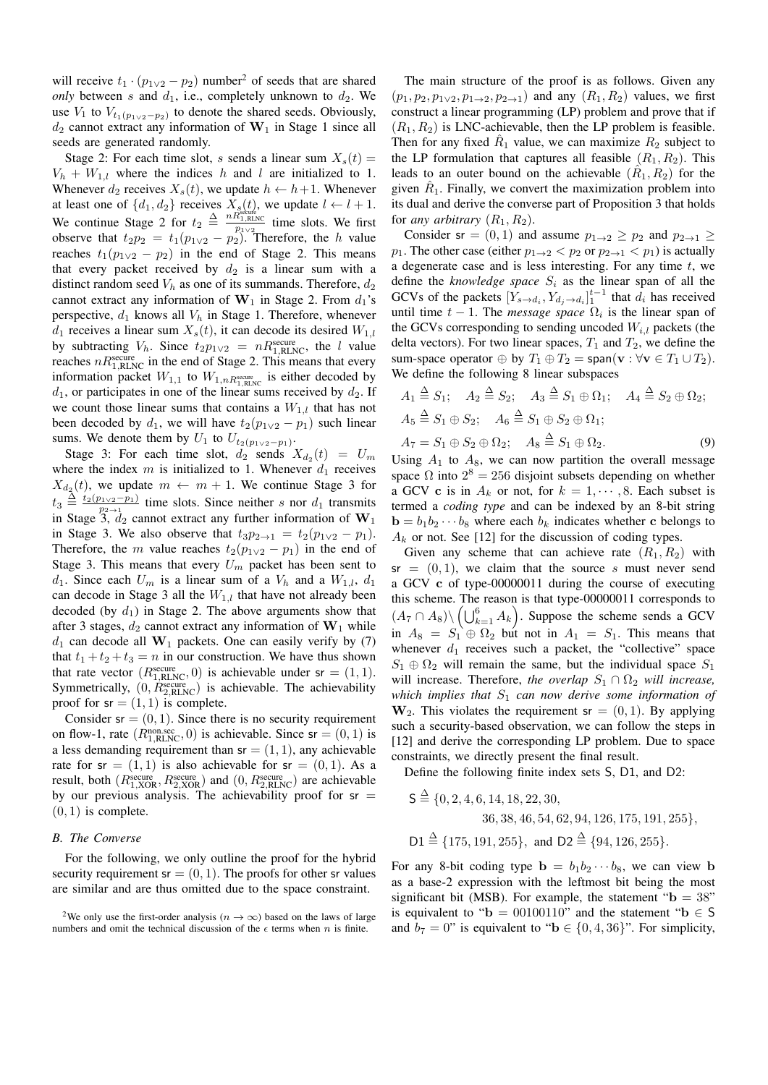will receive  $t_1 \cdot (p_{1 \vee 2} - p_2)$  number<sup>2</sup> of seeds that are shared *only* between s and  $d_1$ , i.e., completely unknown to  $d_2$ . We use  $V_1$  to  $V_{t_1(p_1\vee 2-p_2)}$  to denote the shared seeds. Obviously,  $d_2$  cannot extract any information of  $W_1$  in Stage 1 since all seeds are generated randomly.

Stage 2: For each time slot, s sends a linear sum  $X_s(t) =$  $V_h + W_{1,l}$  where the indices h and l are initialized to 1. Whenever  $d_2$  receives  $X_s(t)$ , we update  $h \leftarrow h+1$ . Whenever at least one of  $\{d_1, d_2\}$  receives  $X_s(t)$ , we update  $l \leftarrow l + 1$ . We continue Stage 2 for  $t_2 \triangleq \frac{n R_{1,\text{R LNC}}^{\text{sechic}}}{P_{1,\text{V2}}^{\text{1.2}}}\text{ time slots. We first}$ observe that  $t_2p_2 = t_1(p_{1\vee 2} - p_2)$ . Therefore, the h value reaches  $t_1(p_{1\vee2} - p_2)$  in the end of Stage 2. This means that every packet received by  $d_2$  is a linear sum with a distinct random seed  $V_h$  as one of its summands. Therefore,  $d_2$ cannot extract any information of  $W_1$  in Stage 2. From  $d_1$ 's perspective,  $d_1$  knows all  $V_h$  in Stage 1. Therefore, whenever  $d_1$  receives a linear sum  $X_s(t)$ , it can decode its desired  $W_{1,l}$ by subtracting  $V_h$ . Since  $t_2p_{1\vee2} = nR_{1,\text{RLNC}}^{\text{secure}}$ , the l value reaches  $nR_{1,\text{RLNC}}^{\text{secure}}$  in the end of Stage 2. This means that every information packet  $W_{1,1}$  to  $W_{1,nR_{1,\text{RLNC}}^{\text{secure}}}$  is either decoded by  $d_1$ , or participates in one of the linear sums received by  $d_2$ . If we count those linear sums that contains a  $W_{1,l}$  that has not been decoded by d<sub>1</sub>, we will have  $t_2(p_{1\vee2} - p_1)$  such linear sums. We denote them by  $U_1$  to  $U_{t_2(p_1\vee_2-p_1)}$ .

Stage 3: For each time slot,  $d_2$  sends  $X_{d_2}(t) = U_m$ where the index  $m$  is initialized to 1. Whenever  $d_1$  receives  $X_{d_2}(t)$ , we update  $m \leftarrow m + 1$ . We continue Stage 3 for  $t_3 \stackrel{\Delta}{=} \frac{t_2(p_1\sqrt{2}-p_1)}{p_2\sqrt{2}}$  time slots. Since neither s nor  $d_1$  transmits in Stage  $3, d_2$  cannot extract any further information of  $W_1$ in Stage 3. We also observe that  $t_3p_{2\to1} = t_2(p_{1\vee2} - p_1)$ . Therefore, the m value reaches  $t_2(p_{1\vee2} - p_1)$  in the end of Stage 3. This means that every  $U_m$  packet has been sent to  $d_1$ . Since each  $U_m$  is a linear sum of a  $V_h$  and a  $W_{1,l}$ ,  $d_1$ can decode in Stage 3 all the  $W_{1,l}$  that have not already been decoded (by  $d_1$ ) in Stage 2. The above arguments show that after 3 stages,  $d_2$  cannot extract any information of  $W_1$  while  $d_1$  can decode all  $W_1$  packets. One can easily verify by (7) that  $t_1 + t_2 + t_3 = n$  in our construction. We have thus shown that rate vector  $(R_{1,RLNC}^{secure}, 0)$  is achievable under sr =  $(1, 1)$ . Symmetrically,  $(0, R_{2,\text{RLNC}}^{\text{secure}})$  is achievable. The achievability proof for  $sr = (1, 1)$  is complete.

Consider  $sr = (0, 1)$ . Since there is no security requirement on flow-1, rate  $(R_{1,RLNC}^{\text{non/sec}}, 0)$  is achievable. Since  $sr = (0, 1)$  is a less demanding requirement than  $sr = (1, 1)$ , any achievable rate for  $sr = (1, 1)$  is also achievable for  $sr = (0, 1)$ . As a result, both  $(R_{1,XOR}^{\text{secure}}, R_{2,XOR}^{\text{secure}})$  and  $(0, R_{2,\text{RLNC}}^{\text{secure}})$  are achievable by our previous analysis. The achievability proof for  $sr =$  $(0, 1)$  is complete.

# *B. The Converse*

For the following, we only outline the proof for the hybrid security requirement  $sr = (0, 1)$ . The proofs for other sr values are similar and are thus omitted due to the space constraint.

The main structure of the proof is as follows. Given any  $(p_1, p_2, p_{1 \vee 2}, p_{1 \to 2}, p_{2 \to 1})$  and any  $(R_1, R_2)$  values, we first construct a linear programming (LP) problem and prove that if  $(R_1, R_2)$  is LNC-achievable, then the LP problem is feasible. Then for any fixed  $R_1$  value, we can maximize  $R_2$  subject to the LP formulation that captures all feasible  $(R_1, R_2)$ . This leads to an outer bound on the achievable  $(R_1, R_2)$  for the given  $\hat{R}_1$ . Finally, we convert the maximization problem into its dual and derive the converse part of Proposition 3 that holds for *any arbitrary*  $(R_1, R_2)$ .

Consider sr =  $(0, 1)$  and assume  $p_{1\rightarrow 2} \geq p_2$  and  $p_{2\rightarrow 1} \geq$  $p_1$ . The other case (either  $p_{1\rightarrow 2} < p_2$  or  $p_{2\rightarrow 1} < p_1$ ) is actually a degenerate case and is less interesting. For any time  $t$ , we define the *knowledge space*  $S_i$  as the linear span of all the GCVs of the packets  $[Y_{s\to d_i}, Y_{d_j\to d_i}]_1^{t-1}$  that  $d_i$  has received until time  $t - 1$ . The *message space*  $\Omega_i$  is the linear span of the GCVs corresponding to sending uncoded  $W_{i,l}$  packets (the delta vectors). For two linear spaces,  $T_1$  and  $T_2$ , we define the sum-space operator  $\oplus$  by  $T_1 \oplus T_2 = \text{span}(\mathbf{v} : \forall \mathbf{v} \in T_1 \cup T_2).$ We define the following 8 linear subspaces

$$
A_1 \triangleq S_1; \quad A_2 \triangleq S_2; \quad A_3 \triangleq S_1 \oplus \Omega_1; \quad A_4 \triangleq S_2 \oplus \Omega_2; A_5 \triangleq S_1 \oplus S_2; \quad A_6 \triangleq S_1 \oplus S_2 \oplus \Omega_1; A_7 = S_1 \oplus S_2 \oplus \Omega_2; \quad A_8 \triangleq S_1 \oplus \Omega_2.
$$
 (9)

Using  $A_1$  to  $A_8$ , we can now partition the overall message space  $\Omega$  into  $2^8 = 256$  disjoint subsets depending on whether a GCV **c** is in  $A_k$  or not, for  $k = 1, \dots, 8$ . Each subset is termed a *coding type* and can be indexed by an 8-bit string  $\mathbf{b} = b_1b_2 \cdots b_8$  where each  $b_k$  indicates whether **c** belongs to  $A_k$  or not. See [12] for the discussion of coding types.

Given any scheme that can achieve rate  $(R_1, R_2)$  with  $sr = (0, 1)$ , we claim that the source s must never send a GCV **c** of type-00000011 during the course of executing this scheme. The reason is that type-00000011 corresponds to  $(A_7 \cap A_8) \setminus \left( \bigcup_{k=1}^6 A_k \right)$ . Suppose the scheme sends a GCV in  $A_8 = S_1 \oplus \Omega_2$  but not in  $A_1 = S_1$ . This means that whenever  $d_1$  receives such a packet, the "collective" space  $S_1 \oplus \Omega_2$  will remain the same, but the individual space  $S_1$ will increase. Therefore, *the overlap*  $S_1 \cap \Omega_2$  *will increase*, *which implies that*  $S_1$  *can now derive some information of*  $W_2$ . This violates the requirement sr =  $(0, 1)$ . By applying such a security-based observation, we can follow the steps in [12] and derive the corresponding LP problem. Due to space constraints, we directly present the final result.

Define the following finite index sets S, D1, and D2:

$$
S \stackrel{\Delta}{=} \{0, 2, 4, 6, 14, 18, 22, 30,
$$
  
36, 38, 46, 54, 62, 94, 126, 175, 191, 255\},  

$$
D1 \stackrel{\Delta}{=} \{175, 191, 255\}, \text{ and } D2 \stackrel{\Delta}{=} \{94, 126, 255\}.
$$

For any 8-bit coding type  $\mathbf{b} = b_1b_2 \cdots b_8$ , we can view **b** as a base-2 expression with the leftmost bit being the most significant bit (MSB). For example, the statement " $\mathbf{b} = 38$ " is equivalent to " $\mathbf{b} = 00100110$ " and the statement " $\mathbf{b} \in \mathsf{S}$ and  $b_7 = 0$ " is equivalent to "**b**  $\in \{0, 4, 36\}$ ". For simplicity,

<sup>&</sup>lt;sup>2</sup>We only use the first-order analysis ( $n \to \infty$ ) based on the laws of large numbers and omit the technical discussion of the  $\epsilon$  terms when n is finite.